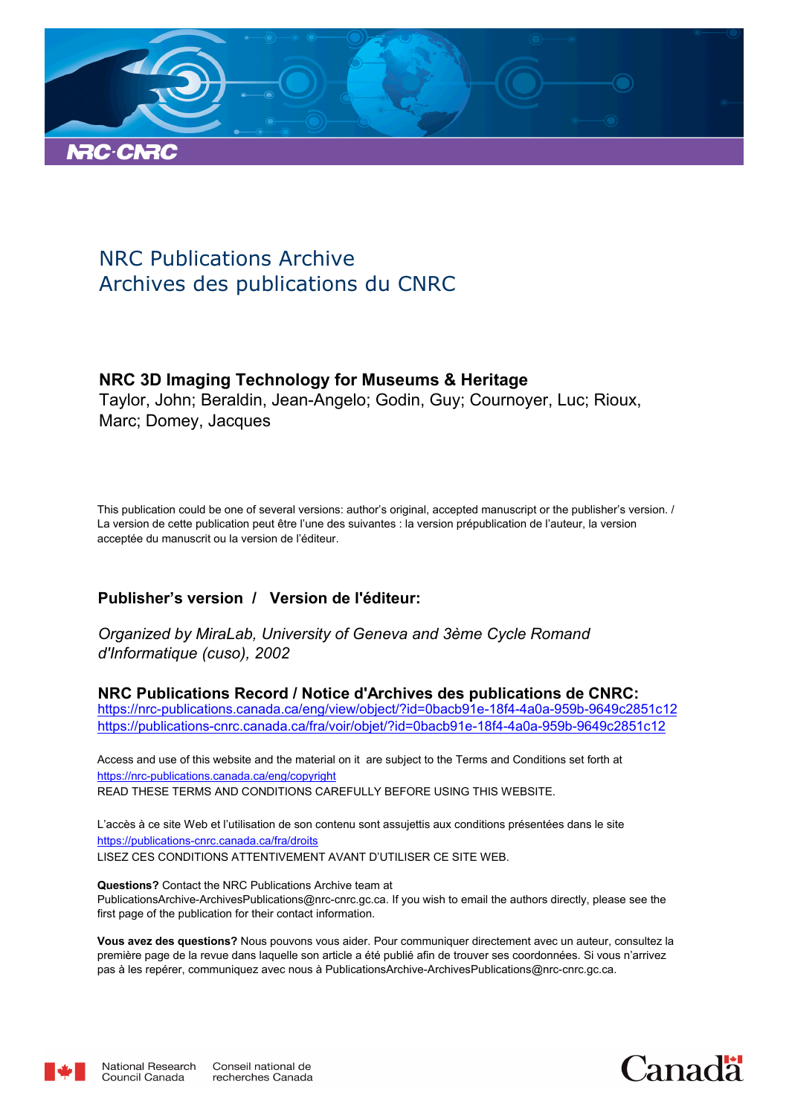

# NRC Publications Archive Archives des publications du CNRC

# **NRC 3D Imaging Technology for Museums & Heritage**

Taylor, John; Beraldin, Jean-Angelo; Godin, Guy; Cournoyer, Luc; Rioux, Marc; Domey, Jacques

This publication could be one of several versions: author's original, accepted manuscript or the publisher's version. / La version de cette publication peut être l'une des suivantes : la version prépublication de l'auteur, la version acceptée du manuscrit ou la version de l'éditeur.

# **Publisher's version / Version de l'éditeur:**

*Organized by MiraLab, University of Geneva and 3ème Cycle Romand d'Informatique (cuso), 2002*

**NRC Publications Record / Notice d'Archives des publications de CNRC:** https://nrc-publications.canada.ca/eng/view/object/?id=0bacb91e-18f4-4a0a-959b-9649c2851c12 https://publications-cnrc.canada.ca/fra/voir/objet/?id=0bacb91e-18f4-4a0a-959b-9649c2851c12

READ THESE TERMS AND CONDITIONS CAREFULLY BEFORE USING THIS WEBSITE. https://nrc-publications.canada.ca/eng/copyright Access and use of this website and the material on it are subject to the Terms and Conditions set forth at

https://publications-cnrc.canada.ca/fra/droits L'accès à ce site Web et l'utilisation de son contenu sont assujettis aux conditions présentées dans le site LISEZ CES CONDITIONS ATTENTIVEMENT AVANT D'UTILISER CE SITE WEB.

**Questions?** Contact the NRC Publications Archive team at PublicationsArchive-ArchivesPublications@nrc-cnrc.gc.ca. If you wish to email the authors directly, please see the first page of the publication for their contact information.

**Vous avez des questions?** Nous pouvons vous aider. Pour communiquer directement avec un auteur, consultez la première page de la revue dans laquelle son article a été publié afin de trouver ses coordonnées. Si vous n'arrivez pas à les repérer, communiquez avec nous à PublicationsArchive-ArchivesPublications@nrc-cnrc.gc.ca.



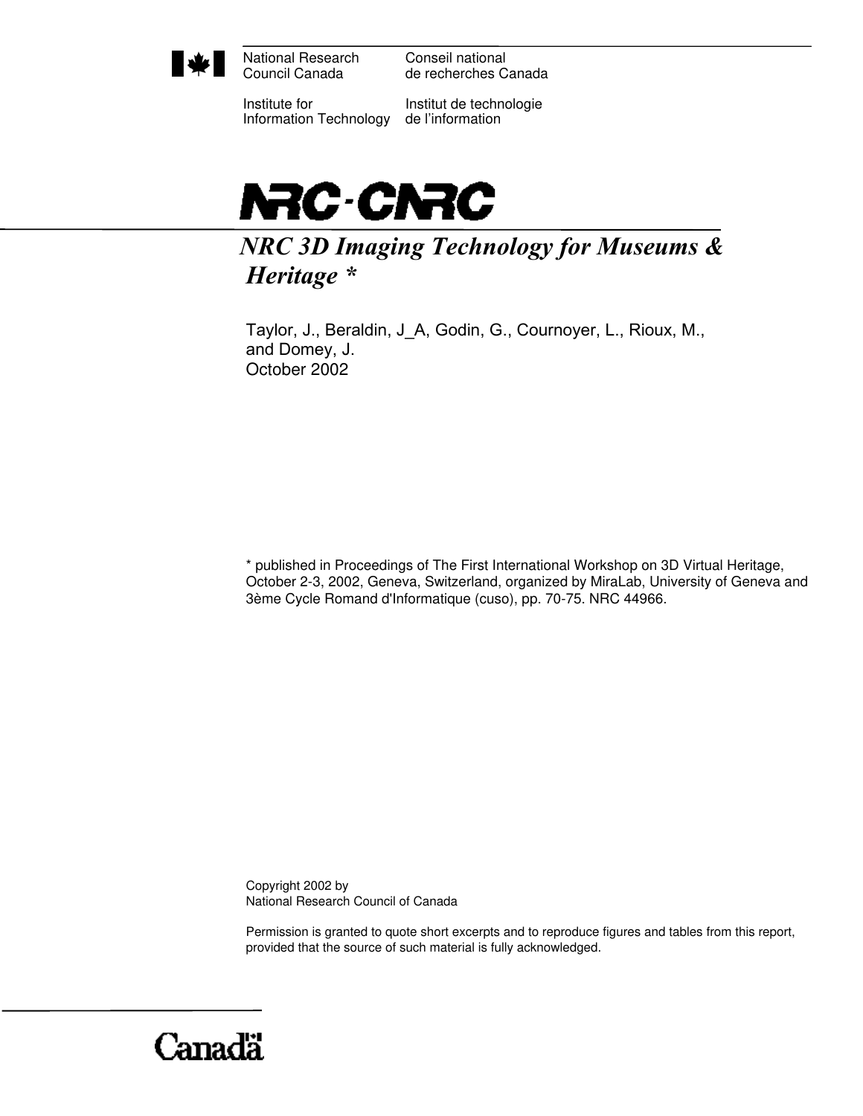

National Research Council Canada

Conseil national de recherches Canada

Institute for Information Technology

Institut de technologie de l'information



*NRC 3D Imaging Technology for Museums & Heritage \** 

Taylor, J., Beraldin, J\_A, Godin, G., Cournoyer, L., Rioux, M., and Domey, J. October 2002

\* published in Proceedings of The First International Workshop on 3D Virtual Heritage, October 2-3, 2002, Geneva, Switzerland, organized by MiraLab, University of Geneva and 3ème Cycle Romand d'Informatique (cuso), pp. 70-75. NRC 44966.

Copyright 2002 by National Research Council of Canada

Permission is granted to quote short excerpts and to reproduce figures and tables from this report, provided that the source of such material is fully acknowledged.

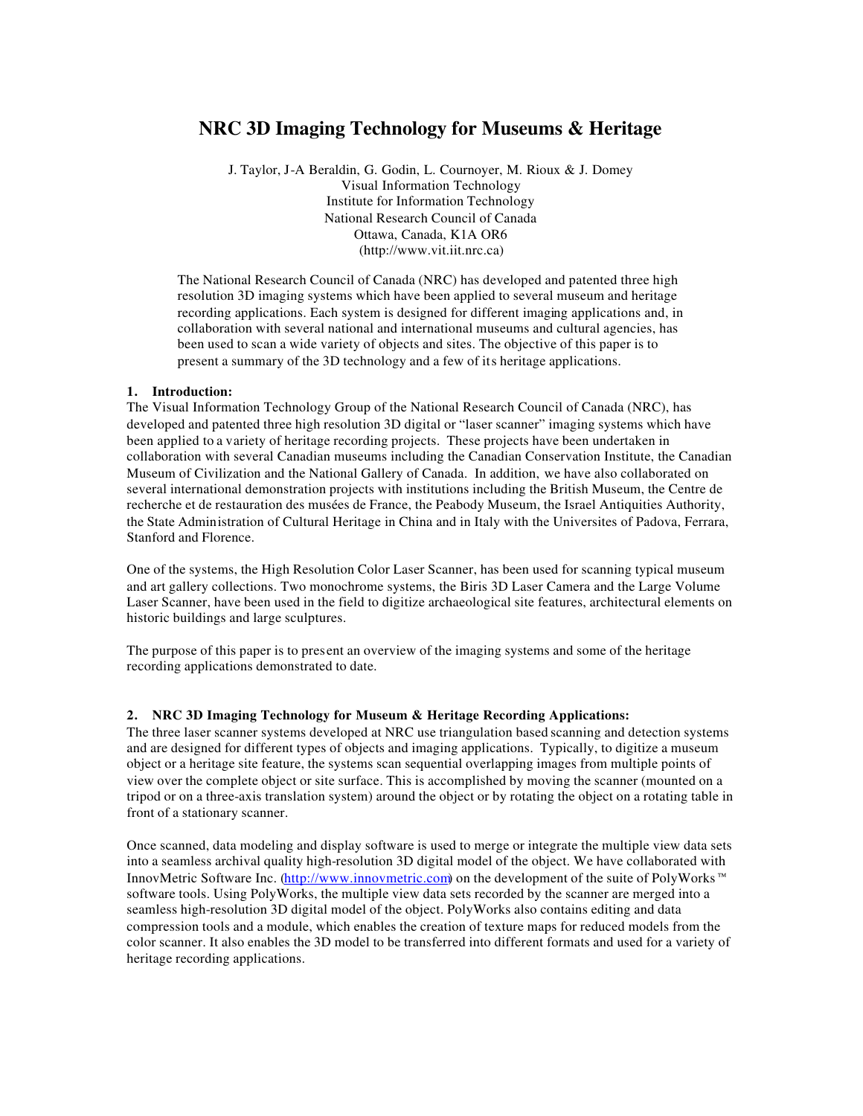# **NRC 3D Imaging Technology for Museums & Heritage**

J. Taylor, J-A Beraldin, G. Godin, L. Cournoyer, M. Rioux & J. Domey Visual Information Technology Institute for Information Technology National Research Council of Canada Ottawa, Canada, K1A OR6 (http://www.vit.iit.nrc.ca)

The National Research Council of Canada (NRC) has developed and patented three high resolution 3D imaging systems which have been applied to several museum and heritage recording applications. Each system is designed for different imaging applications and, in collaboration with several national and international museums and cultural agencies, has been used to scan a wide variety of objects and sites. The objective of this paper is to present a summary of the 3D technology and a few of its heritage applications.

### **1. Introduction:**

The Visual Information Technology Group of the National Research Council of Canada (NRC), has developed and patented three high resolution 3D digital or "laser scanner" imaging systems which have been applied to a variety of heritage recording projects. These projects have been undertaken in collaboration with several Canadian museums including the Canadian Conservation Institute, the Canadian Museum of Civilization and the National Gallery of Canada. In addition, we have also collaborated on several international demonstration projects with institutions including the British Museum, the Centre de recherche et de restauration des musées de France, the Peabody Museum, the Israel Antiquities Authority, the State Administration of Cultural Heritage in China and in Italy with the Universites of Padova, Ferrara, Stanford and Florence.

One of the systems, the High Resolution Color Laser Scanner, has been used for scanning typical museum and art gallery collections. Two monochrome systems, the Biris 3D Laser Camera and the Large Volume Laser Scanner, have been used in the field to digitize archaeological site features, architectural elements on historic buildings and large sculptures.

The purpose of this paper is to present an overview of the imaging systems and some of the heritage recording applications demonstrated to date.

#### **2. NRC 3D Imaging Technology for Museum & Heritage Recording Applications:**

The three laser scanner systems developed at NRC use triangulation based scanning and detection systems and are designed for different types of objects and imaging applications. Typically, to digitize a museum object or a heritage site feature, the systems scan sequential overlapping images from multiple points of view over the complete object or site surface. This is accomplished by moving the scanner (mounted on a tripod or on a three-axis translation system) around the object or by rotating the object on a rotating table in front of a stationary scanner.

Once scanned, data modeling and display software is used to merge or integrate the multiple view data sets into a seamless archival quality high-resolution 3D digital model of the object. We have collaborated with InnovMetric Software Inc. (http://www.innovmetric.com) on the development of the suite of PolyWorks™ software tools. Using PolyWorks, the multiple view data sets recorded by the scanner are merged into a seamless high-resolution 3D digital model of the object. PolyWorks also contains editing and data compression tools and a module, which enables the creation of texture maps for reduced models from the color scanner. It also enables the 3D model to be transferred into different formats and used for a variety of heritage recording applications.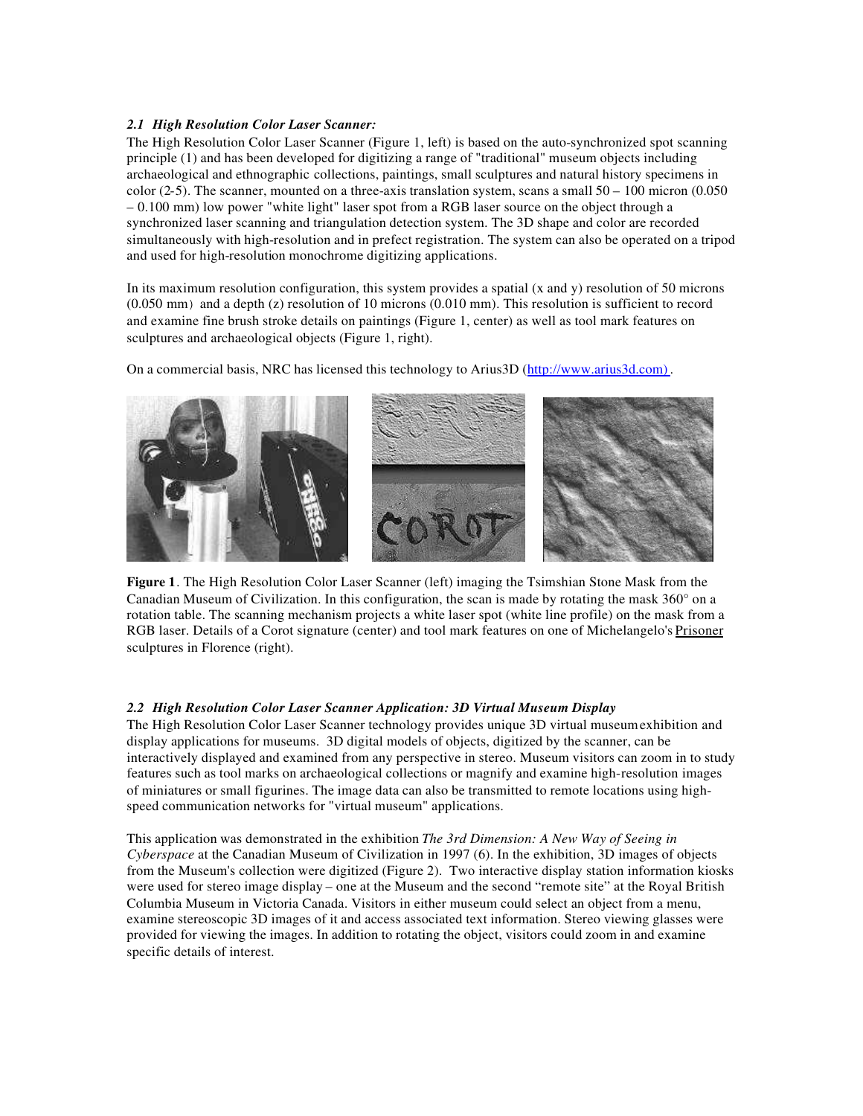# *2.1 High Resolution Color Laser Scanner:*

The High Resolution Color Laser Scanner (Figure 1, left) is based on the auto-synchronized spot scanning principle (1) and has been developed for digitizing a range of "traditional" museum objects including archaeological and ethnographic collections, paintings, small sculptures and natural history specimens in color (2-5). The scanner, mounted on a three-axis translation system, scans a small  $50 - 100$  micron (0.050) – 0.100 mm) low power "white light" laser spot from a RGB laser source on the object through a synchronized laser scanning and triangulation detection system. The 3D shape and color are recorded simultaneously with high-resolution and in prefect registration. The system can also be operated on a tripod and used for high-resolution monochrome digitizing applications.

In its maximum resolution configuration, this system provides a spatial  $(x \text{ and } y)$  resolution of 50 microns (0.050 mm) and a depth (z) resolution of 10 microns (0.010 mm). This resolution is sufficient to record and examine fine brush stroke details on paintings (Figure 1, center) as well as tool mark features on sculptures and archaeological objects (Figure 1, right).

On a commercial basis, NRC has licensed this technology to Arius3D (http://www.arius3d.com).



**Figure 1**. The High Resolution Color Laser Scanner (left) imaging the Tsimshian Stone Mask from the Canadian Museum of Civilization. In this configuration, the scan is made by rotating the mask  $360^{\circ}$  on a rotation table. The scanning mechanism projects a white laser spot (white line profile) on the mask from a RGB laser. Details of a Corot signature (center) and tool mark features on one of Michelangelo's Prisoner sculptures in Florence (right).

#### *2.2 High Resolution Color Laser Scanner Application: 3D Virtual Museum Display*

The High Resolution Color Laser Scanner technology provides unique 3D virtual museum exhibition and display applications for museums. 3D digital models of objects, digitized by the scanner, can be interactively displayed and examined from any perspective in stereo. Museum visitors can zoom in to study features such as tool marks on archaeological collections or magnify and examine high-resolution images of miniatures or small figurines. The image data can also be transmitted to remote locations using highspeed communication networks for "virtual museum" applications.

This application was demonstrated in the exhibition *The 3rd Dimension: A New Way of Seeing in Cyberspace* at the Canadian Museum of Civilization in 1997 (6). In the exhibition, 3D images of objects from the Museum's collection were digitized (Figure 2). Two interactive display station information kiosks were used for stereo image display – one at the Museum and the second "remote site" at the Royal British Columbia Museum in Victoria Canada. Visitors in either museum could select an object from a menu, examine stereoscopic 3D images of it and access associated text information. Stereo viewing glasses were provided for viewing the images. In addition to rotating the object, visitors could zoom in and examine specific details of interest.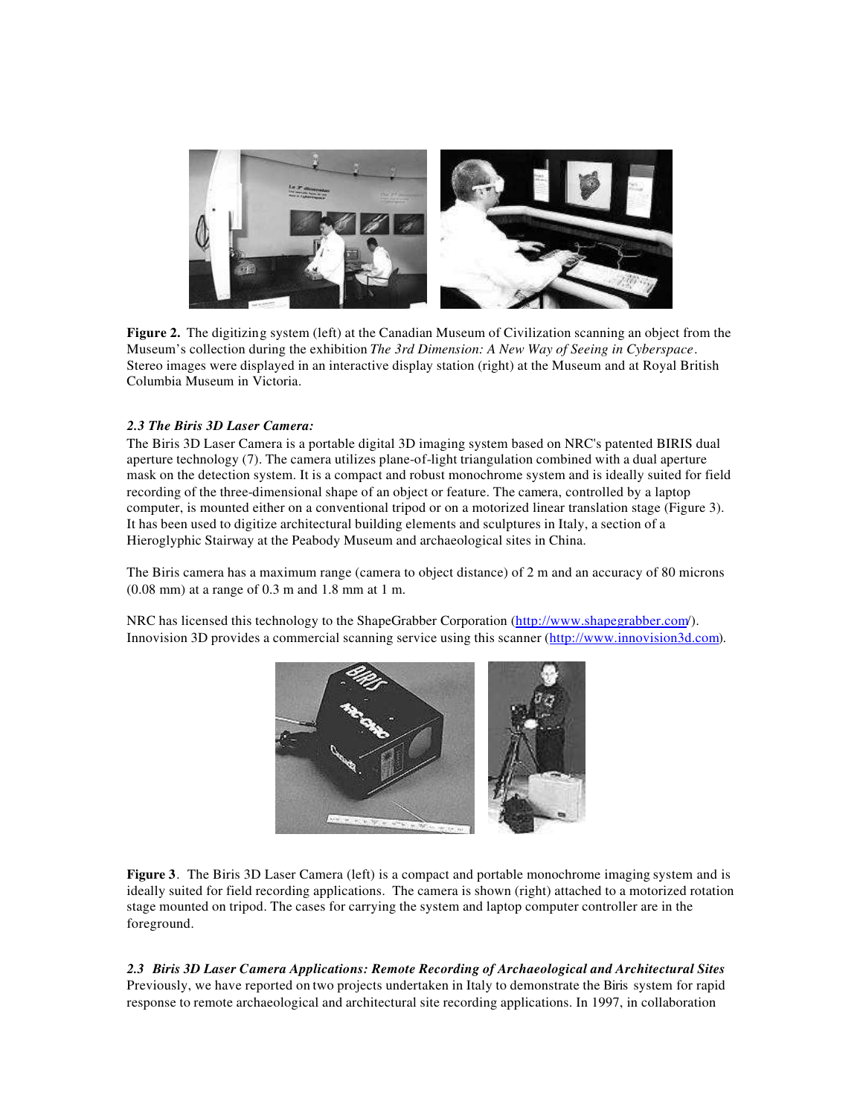

**Figure 2.** The digitizing system (left) at the Canadian Museum of Civilization scanning an object from the Museum's collection during the exhibition *The 3rd Dimension: A New Way of Seeing in Cyberspace*. Stereo images were displayed in an interactive display station (right) at the Museum and at Royal British Columbia Museum in Victoria.

# *2.3 The Biris 3D Laser Camera:*

The Biris 3D Laser Camera is a portable digital 3D imaging system based on NRC's patented BIRIS dual aperture technology (7). The camera utilizes plane-of-light triangulation combined with a dual aperture mask on the detection system. It is a compact and robust monochrome system and is ideally suited for field recording of the three-dimensional shape of an object or feature. The camera, controlled by a laptop computer, is mounted either on a conventional tripod or on a motorized linear translation stage (Figure 3). It has been used to digitize architectural building elements and sculptures in Italy, a section of a Hieroglyphic Stairway at the Peabody Museum and archaeological sites in China.

The Biris camera has a maximum range (camera to object distance) of 2 m and an accuracy of 80 microns (0.08 mm) at a range of 0.3 m and 1.8 mm at 1 m.

NRC has licensed this technology to the ShapeGrabber Corporation (http://www.shapegrabber.com/). Innovision 3D provides a commercial scanning service using this scanner (http://www.innovision3d.com).



**Figure 3.** The Biris 3D Laser Camera (left) is a compact and portable monochrome imaging system and is ideally suited for field recording applications. The camera is shown (right) attached to a motorized rotation stage mounted on tripod. The cases for carrying the system and laptop computer controller are in the foreground.

*2.3 Biris 3D Laser Camera Applications: Remote Recording of Archaeological and Architectural Sites* Previously, we have reported on two projects undertaken in Italy to demonstrate the Biris system for rapid response to remote archaeological and architectural site recording applications. In 1997, in collaboration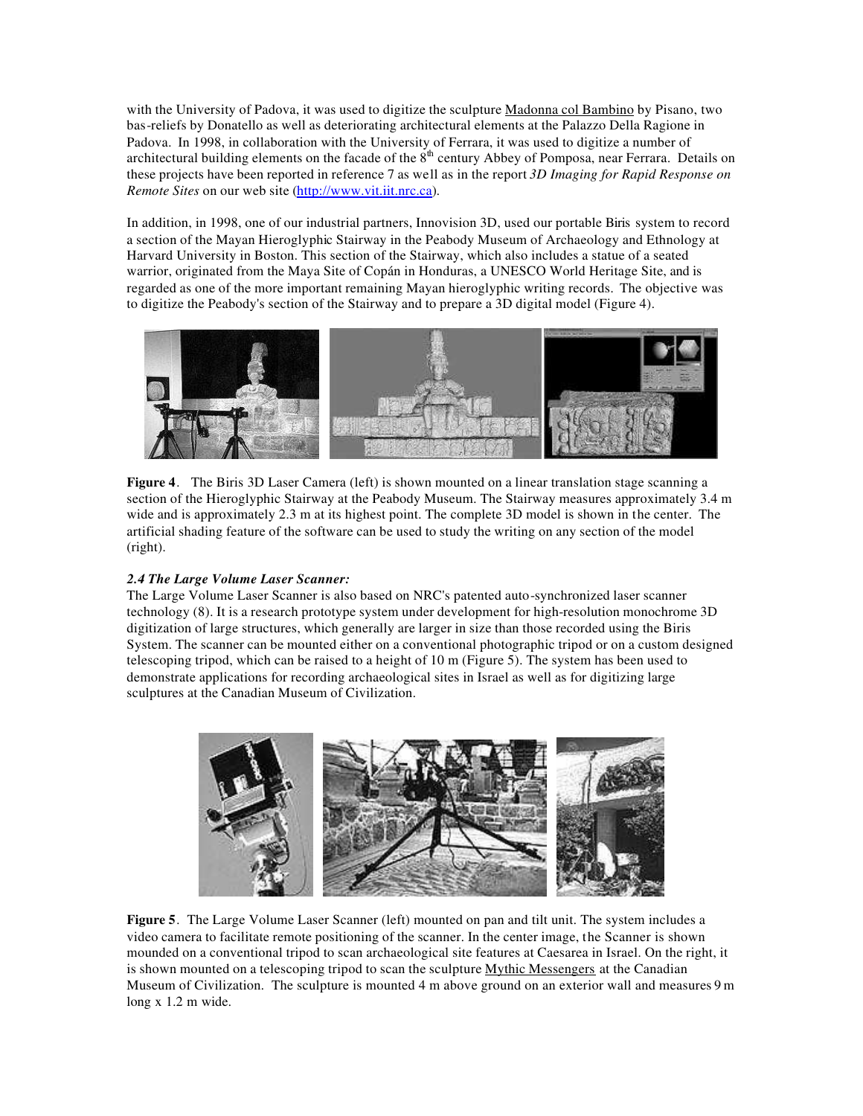with the University of Padova, it was used to digitize the sculpture Madonna col Bambino by Pisano, two bas-reliefs by Donatello as well as deteriorating architectural elements at the Palazzo Della Ragione in Padova. In 1998, in collaboration with the University of Ferrara, it was used to digitize a number of architectural building elements on the facade of the  $8<sup>th</sup>$  century Abbey of Pomposa, near Ferrara. Details on these projects have been reported in reference 7 as well as in the report *3D Imaging for Rapid Response on Remote Sites* on our web site (http://www.vit.iit.nrc.ca).

In addition, in 1998, one of our industrial partners, Innovision 3D, used our portable Biris system to record a section of the Mayan Hieroglyphic Stairway in the Peabody Museum of Archaeology and Ethnology at Harvard University in Boston. This section of the Stairway, which also includes a statue of a seated warrior, originated from the Maya Site of Copán in Honduras, a UNESCO World Heritage Site, and is regarded as one of the more important remaining Mayan hieroglyphic writing records. The objective was to digitize the Peabody's section of the Stairway and to prepare a 3D digital model (Figure 4).



**Figure 4**. The Biris 3D Laser Camera (left) is shown mounted on a linear translation stage scanning a section of the Hieroglyphic Stairway at the Peabody Museum. The Stairway measures approximately 3.4 m wide and is approximately 2.3 m at its highest point. The complete 3D model is shown in the center. The artificial shading feature of the software can be used to study the writing on any section of the model (right).

# *2.4 The Large Volume Laser Scanner:*

The Large Volume Laser Scanner is also based on NRC's patented auto-synchronized laser scanner technology (8). It is a research prototype system under development for high-resolution monochrome 3D digitization of large structures, which generally are larger in size than those recorded using the Biris System. The scanner can be mounted either on a conventional photographic tripod or on a custom designed telescoping tripod, which can be raised to a height of 10 m (Figure 5). The system has been used to demonstrate applications for recording archaeological sites in Israel as well as for digitizing large sculptures at the Canadian Museum of Civilization.



**Figure 5**. The Large Volume Laser Scanner (left) mounted on pan and tilt unit. The system includes a video camera to facilitate remote positioning of the scanner. In the center image, the Scanner is shown mounded on a conventional tripod to scan archaeological site features at Caesarea in Israel. On the right, it is shown mounted on a telescoping tripod to scan the sculpture Mythic Messengers at the Canadian Museum of Civilization. The sculpture is mounted 4 m above ground on an exterior wall and measures 9 m long x 1.2 m wide.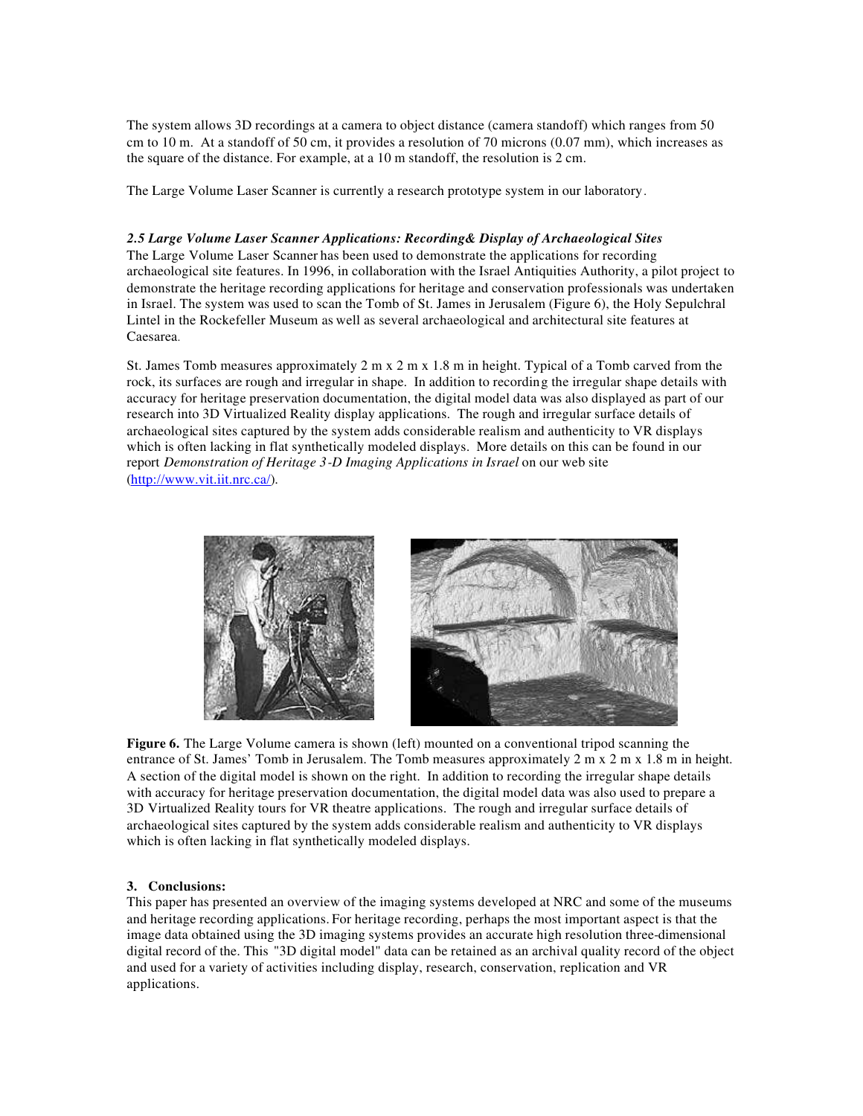The system allows 3D recordings at a camera to object distance (camera standoff) which ranges from 50 cm to 10 m. At a standoff of 50 cm, it provides a resolution of 70 microns (0.07 mm), which increases as the square of the distance. For example, at a 10 m standoff, the resolution is 2 cm.

The Large Volume Laser Scanner is currently a research prototype system in our laboratory.

## *2.5 Large Volume Laser Scanner Applications: Recording& Display of Archaeological Sites*

The Large Volume Laser Scanner has been used to demonstrate the applications for recording archaeological site features. In 1996, in collaboration with the Israel Antiquities Authority, a pilot project to demonstrate the heritage recording applications for heritage and conservation professionals was undertaken in Israel. The system was used to scan the Tomb of St. James in Jerusalem (Figure 6), the Holy Sepulchral Lintel in the Rockefeller Museum as well as several archaeological and architectural site features at Caesarea.

St. James Tomb measures approximately 2 m x 2 m x 1.8 m in height. Typical of a Tomb carved from the rock, its surfaces are rough and irregular in shape. In addition to recording the irregular shape details with accuracy for heritage preservation documentation, the digital model data was also displayed as part of our research into 3D Virtualized Reality display applications. The rough and irregular surface details of archaeological sites captured by the system adds considerable realism and authenticity to VR displays which is often lacking in flat synthetically modeled displays. More details on this can be found in our report *Demonstration of Heritage 3-D Imaging Applications in Israel* on our web site (http://www.vit.iit.nrc.ca/).



**Figure 6.** The Large Volume camera is shown (left) mounted on a conventional tripod scanning the entrance of St. James' Tomb in Jerusalem. The Tomb measures approximately 2 m x 2 m x 1.8 m in height. A section of the digital model is shown on the right. In addition to recording the irregular shape details with accuracy for heritage preservation documentation, the digital model data was also used to prepare a 3D Virtualized Reality tours for VR theatre applications. The rough and irregular surface details of archaeological sites captured by the system adds considerable realism and authenticity to VR displays which is often lacking in flat synthetically modeled displays.

### **3. Conclusions:**

This paper has presented an overview of the imaging systems developed at NRC and some of the museums and heritage recording applications. For heritage recording, perhaps the most important aspect is that the image data obtained using the 3D imaging systems provides an accurate high resolution three-dimensional digital record of the. This "3D digital model" data can be retained as an archival quality record of the object and used for a variety of activities including display, research, conservation, replication and VR applications.